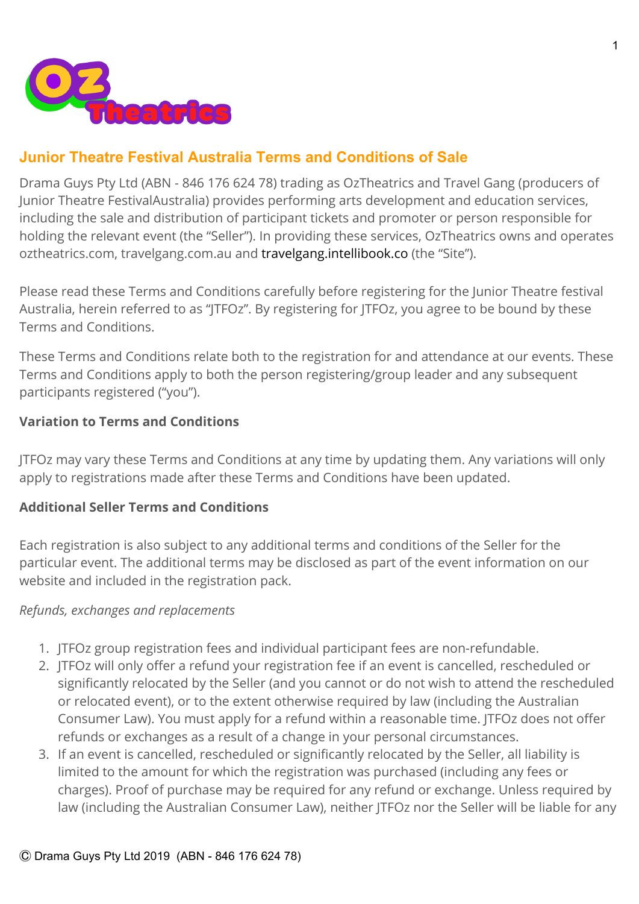

# **Junior Theatre Festival Australia Terms and Conditions of Sale**

Drama Guys Pty Ltd (ABN - 846 176 624 78) trading as OzTheatrics and Travel Gang (producers of Junior Theatre FestivalAustralia) provides performing arts development and education services, including the sale and distribution of participant tickets and promoter or person responsible for holding the relevant event (the "Seller"). In providing these services, OzTheatrics owns and operates oztheatrics.com, travelgang.com.au and [travelgang.intellibook.co](https://travelgang.intellibook.co/) (the "Site").

Please read these Terms and Conditions carefully before registering for the Junior Theatre festival Australia, herein referred to as "JTFOz". By registering for JTFOz, you agree to be bound by these Terms and Conditions.

These Terms and Conditions relate both to the registration for and attendance at our events. These Terms and Conditions apply to both the person registering/group leader and any subsequent participants registered ("you").

### **Variation to Terms and Conditions**

JTFOz may vary these Terms and Conditions at any time by updating them. Any variations will only apply to registrations made after these Terms and Conditions have been updated.

### **Additional Seller Terms and Conditions**

Each registration is also subject to any additional terms and conditions of the Seller for the particular event. The additional terms may be disclosed as part of the event information on our website and included in the registration pack.

#### *Refunds, exchanges and replacements*

- 1. JTFOz group registration fees and individual participant fees are non-refundable.
- 2. JTFOz will only offer a refund your registration fee if an event is cancelled, rescheduled or significantly relocated by the Seller (and you cannot or do not wish to attend the rescheduled or relocated event), or to the extent otherwise required by law (including the Australian Consumer Law). You must apply for a refund within a reasonable time. JTFOz does not offer refunds or exchanges as a result of a change in your personal circumstances.
- 3. If an event is cancelled, rescheduled or significantly relocated by the Seller, all liability is limited to the amount for which the registration was purchased (including any fees or charges). Proof of purchase may be required for any refund or exchange. Unless required by law (including the Australian Consumer Law), neither JTFOz nor the Seller will be liable for any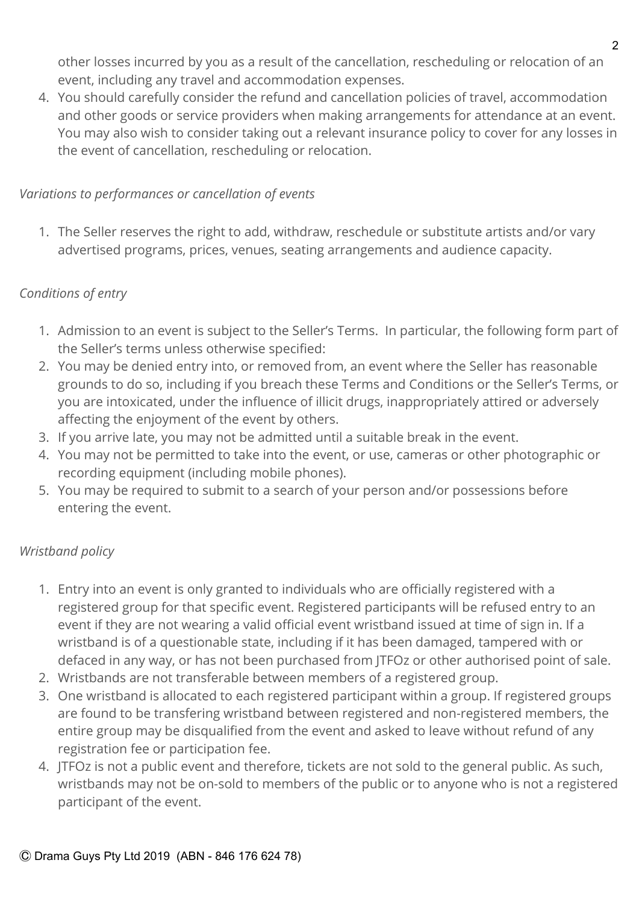other losses incurred by you as a result of the cancellation, rescheduling or relocation of an event, including any travel and accommodation expenses.

4. You should carefully consider the refund and cancellation policies of travel, accommodation and other goods or service providers when making arrangements for attendance at an event. You may also wish to consider taking out a relevant insurance policy to cover for any losses in the event of cancellation, rescheduling or relocation.

## *Variations to performances or cancellation of events*

1. The Seller reserves the right to add, withdraw, reschedule or substitute artists and/or vary advertised programs, prices, venues, seating arrangements and audience capacity.

## *Conditions of entry*

- 1. Admission to an event is subject to the Seller's Terms. In particular, the following form part of the Seller's terms unless otherwise specified:
- 2. You may be denied entry into, or removed from, an event where the Seller has reasonable grounds to do so, including if you breach these Terms and Conditions or the Seller's Terms, or you are intoxicated, under the influence of illicit drugs, inappropriately attired or adversely affecting the enjoyment of the event by others.
- 3. If you arrive late, you may not be admitted until a suitable break in the event.
- 4. You may not be permitted to take into the event, or use, cameras or other photographic or recording equipment (including mobile phones).
- 5. You may be required to submit to a search of your person and/or possessions before entering the event.

### *Wristband policy*

- 1. Entry into an event is only granted to individuals who are officially registered with a registered group for that specific event. Registered participants will be refused entry to an event if they are not wearing a valid official event wristband issued at time of sign in. If a wristband is of a questionable state, including if it has been damaged, tampered with or defaced in any way, or has not been purchased from JTFOz or other authorised point of sale.
- 2. Wristbands are not transferable between members of a registered group.
- 3. One wristband is allocated to each registered participant within a group. If registered groups are found to be transfering wristband between registered and non-registered members, the entire group may be disqualified from the event and asked to leave without refund of any registration fee or participation fee.
- 4. JTFOz is not a public event and therefore, tickets are not sold to the general public. As such, wristbands may not be on-sold to members of the public or to anyone who is not a registered participant of the event.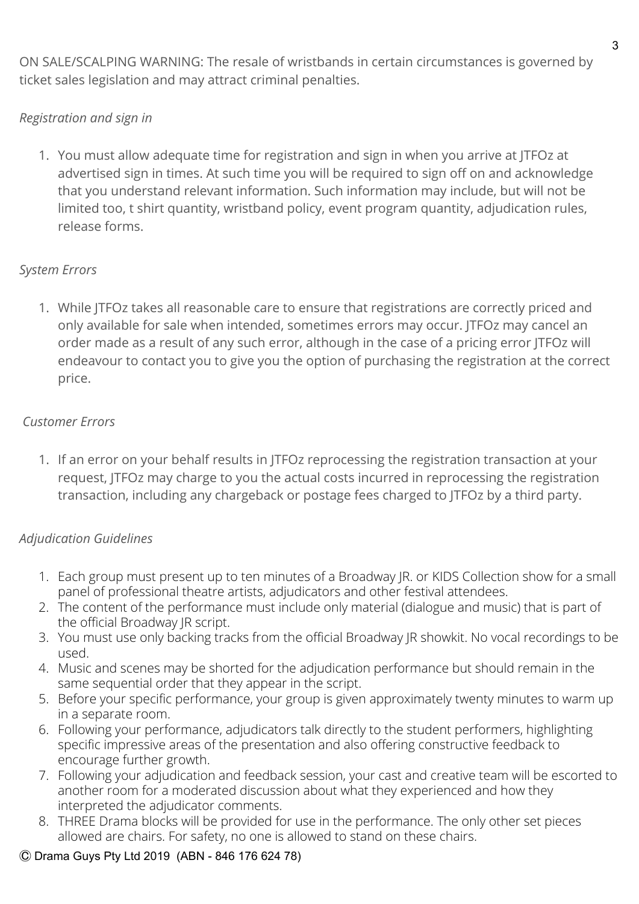ON SALE/SCALPING WARNING: The resale of wristbands in certain circumstances is governed by ticket sales legislation and may attract criminal penalties.

## *Registration and sign in*

1. You must allow adequate time for registration and sign in when you arrive at JTFOz at advertised sign in times. At such time you will be required to sign off on and acknowledge that you understand relevant information. Such information may include, but will not be limited too, t shirt quantity, wristband policy, event program quantity, adjudication rules, release forms.

## *System Errors*

1. While JTFOz takes all reasonable care to ensure that registrations are correctly priced and only available for sale when intended, sometimes errors may occur. JTFOz may cancel an order made as a result of any such error, although in the case of a pricing error JTFOz will endeavour to contact you to give you the option of purchasing the registration at the correct price.

# *Customer Errors*

1. If an error on your behalf results in JTFOz reprocessing the registration transaction at your request, JTFOz may charge to you the actual costs incurred in reprocessing the registration transaction, including any chargeback or postage fees charged to JTFOz by a third party.

# *Adjudication Guidelines*

- 1. Each group must present up to ten minutes of a Broadway JR. or KIDS Collection show for a small panel of professional theatre artists, adjudicators and other festival attendees.
- 2. The content of the performance must include only material (dialogue and music) that is part of the official Broadway JR script.
- 3. You must use only backing tracks from the official Broadway JR showkit. No vocal recordings to be used.
- 4. Music and scenes may be shorted for the adjudication performance but should remain in the same sequential order that they appear in the script.
- 5. Before your specific performance, your group is given approximately twenty minutes to warm up in a separate room.
- 6. Following your performance, adjudicators talk directly to the student performers, highlighting specific impressive areas of the presentation and also offering constructive feedback to encourage further growth.
- 7. Following your adjudication and feedback session, your cast and creative team will be escorted to another room for a moderated discussion about what they experienced and how they interpreted the adjudicator comments.
- 8. THREE Drama blocks will be provided for use in the performance.The only other set pieces allowed are chairs. For safety, no one is allowed to stand on these chairs.

### Ⓒ Drama Guys Pty Ltd 2019 (ABN - 846 176 624 78)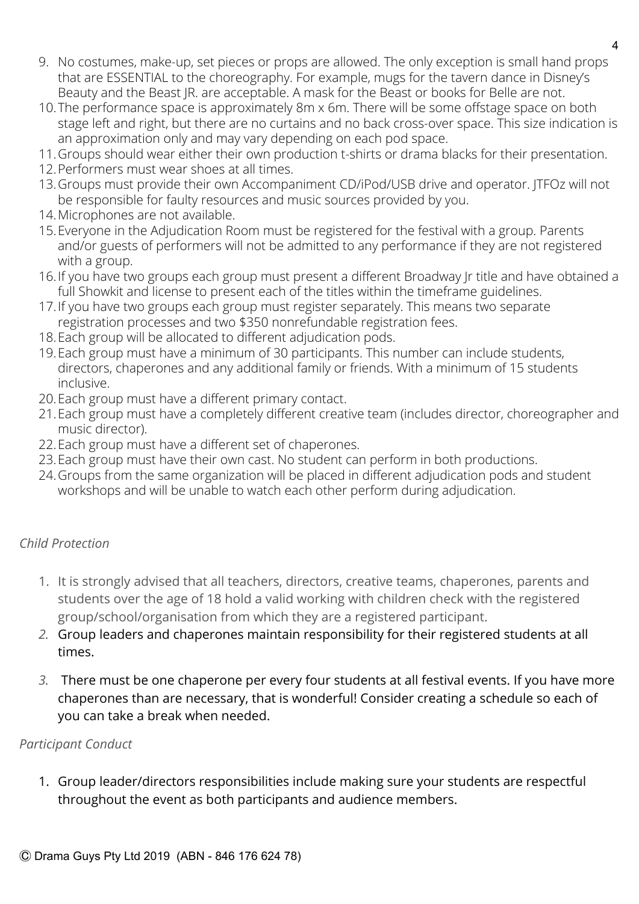- 9. No costumes, make-up, set pieces or props are allowed. The only exception is small hand props that are ESSENTIAL to the choreography. For example, mugs for the tavern dance in Disney's Beauty and the Beast JR. are acceptable. A mask for the Beast or books for Belle are not.
- 10.The performance space is approximately 8m x 6m. There will be some offstage space on both stage left and right, but there are no curtains and no back cross-over space. This size indication is an approximation only and may vary depending on each pod space.
- 11.Groups should wear either their own production t-shirts or drama blacks for their presentation.
- 12.Performers must wear shoes at all times.
- 13.Groups must provide their own Accompaniment CD/iPod/USB drive and operator. JTFOz will not be responsible for faulty resources and music sources provided by you.
- 14.Microphones are not available.
- 15.Everyone in the Adjudication Room must be registered for the festival with a group. Parents and/or guests of performers will not be admitted to any performance if they are not registered with a group.
- 16.If you have two groups each group must present a different Broadway Jr title and have obtained a full Showkit and license to present each of the titles within the timeframe guidelines.
- 17.If you have two groups each group must register separately. This means two separate registration processes and two \$350 nonrefundable registration fees.
- 18.Each group will be allocated to different adjudication pods.
- 19.Each group must have a minimum of 30 participants. This number can include students, directors, chaperones and any additional family or friends. With a minimum of 15 students inclusive.
- 20.Each group must have a different primary contact.
- 21.Each group must have a completely different creative team (includes director, choreographer and music director).
- 22.Each group must have a different set of chaperones.
- 23.Each group must have their own cast. No student can perform in both productions.
- 24.Groups from the same organization will be placed in different adjudication pods and student workshops and will be unable to watch each other perform during adjudication.

## *Child Protection*

- 1. It is strongly advised that all teachers, directors, creative teams, chaperones, parents and students over the age of 18 hold a valid working with children check with the registered group/school/organisation from which they are a registered participant.
- *2.* Group leaders and chaperones maintain responsibility for their registered students at all times.
- *3.* There must be one chaperone per every four students at all festival events. If you have more chaperones than are necessary, that is wonderful! Consider creating a schedule so each of you can take a break when needed.

## *Participant Conduct*

1. Group leader/directors responsibilities include making sure your students are respectful throughout the event as both participants and audience members.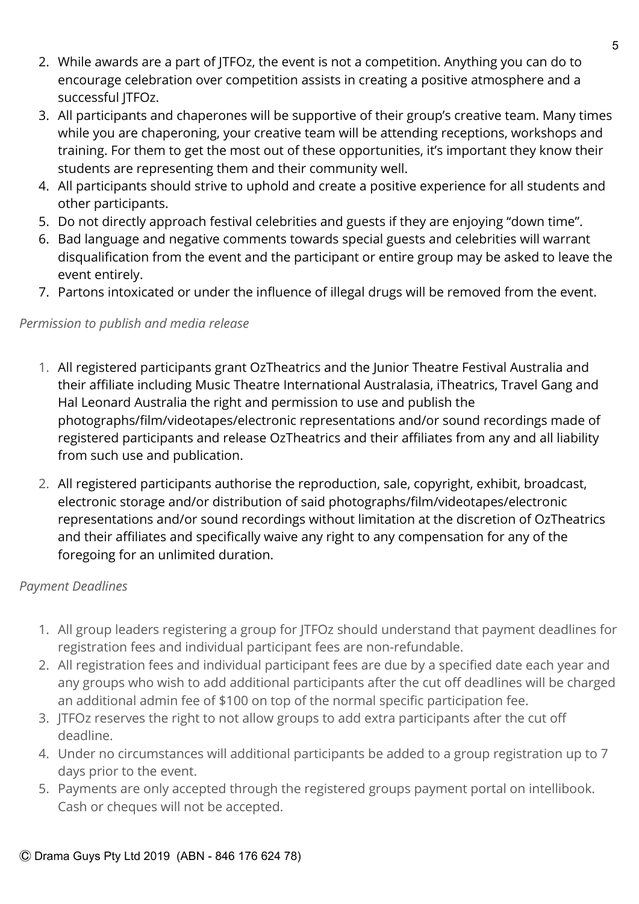- 2. While awards are a part of JTFOz, the event is not a competition. Anything you can do to encourage celebration over competition assists in creating a positive atmosphere and a successful JTFOz.
- 3. All participants and chaperones will be supportive of their group's creative team. Many times while you are chaperoning, your creative team will be attending receptions, workshops and training. For them to get the most out of these opportunities, it's important they know their students are representing them and their community well.
- 4. All participants should strive to uphold and create a positive experience for all students and other participants.
- 5. Do not directly approach festival celebrities and guests if they are enjoying "down time".
- 6. Bad language and negative comments towards special guests and celebrities will warrant disqualification from the event and the participant or entire group may be asked to leave the event entirely.
- 7. Partons intoxicated or under the influence of illegal drugs will be removed from the event.

## *Permission to publish and media release*

- 1. All registered participants grant OzTheatrics and the Junior Theatre Festival Australia and their affiliate including Music Theatre International Australasia, iTheatrics, Travel Gang and Hal Leonard Australia the right and permission to use and publish the photographs/film/videotapes/electronic representations and/or sound recordings made of registered participants and release OzTheatrics and their affiliates from any and all liability from such use and publication.
- 2. All registered participants authorise the reproduction, sale, copyright, exhibit, broadcast, electronic storage and/or distribution of said photographs/film/videotapes/electronic representations and/or sound recordings without limitation at the discretion of OzTheatrics and their affiliates and specifically waive any right to any compensation for any of the foregoing for an unlimited duration.

## *Payment Deadlines*

- 1. All group leaders registering a group for JTFOz should understand that payment deadlines for registration fees and individual participant fees are non-refundable.
- 2. All registration fees and individual participant fees are due by a specified date each year and any groups who wish to add additional participants after the cut off deadlines will be charged an additional admin fee of \$100 on top of the normal specific participation fee.
- 3. JTFOz reserves the right to not allow groups to add extra participants after the cut off deadline.
- 4. Under no circumstances will additional participants be added to a group registration up to 7 days prior to the event.
- 5. Payments are only accepted through the registered groups payment portal on intellibook. Cash or cheques will not be accepted.